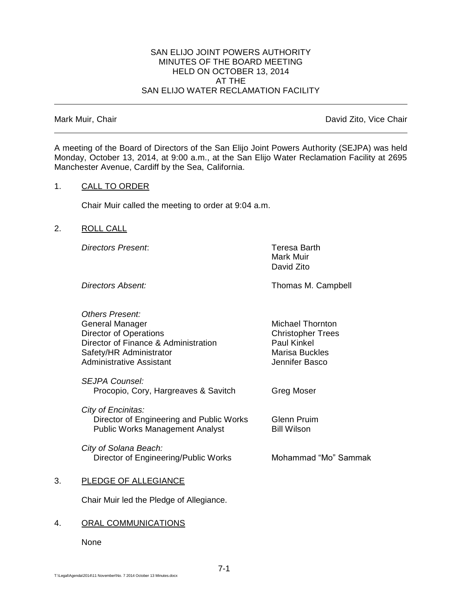#### SAN ELIJO JOINT POWERS AUTHORITY MINUTES OF THE BOARD MEETING HELD ON OCTOBER 13, 2014 AT THE SAN ELIJO WATER RECLAMATION FACILITY

Mark Muir, Chair **David Zito, Vice Chair** David Zito, Vice Chair

A meeting of the Board of Directors of the San Elijo Joint Powers Authority (SEJPA) was held Monday, October 13, 2014, at 9:00 a.m., at the San Elijo Water Reclamation Facility at 2695 Manchester Avenue, Cardiff by the Sea, California.

## 1. CALL TO ORDER

Chair Muir called the meeting to order at 9:04 a.m.

## 2. ROLL CALL

*Directors Present*: Teresa Barth

Mark Muir David Zito

**Directors Absent:** Thomas M. Campbell

*Others Present:* General Manager Michael Thornton Director of Operations **Christopher Trees** Director of Finance & Administration Paul Kinkel Safety/HR Administrator Marisa Buckles Administrative Assistant **Access 12 and Administrative Assistant** 

*SEJPA Counsel:* Procopio, Cory, Hargreaves & Savitch Greg Moser

*City of Encinitas:* Director of Engineering and Public Works Glenn Pruim Public Works Management Analyst Bill Wilson

*City of Solana Beach:* Director of Engineering/Public Works Mohammad "Mo" Sammak

# 3. PLEDGE OF ALLEGIANCE

Chair Muir led the Pledge of Allegiance.

# 4. ORAL COMMUNICATIONS

None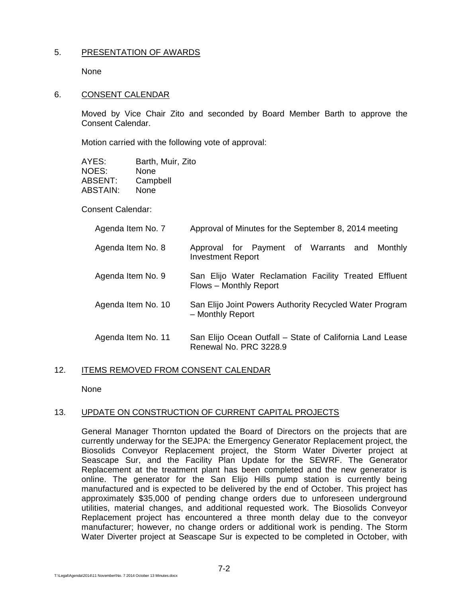## 5. PRESENTATION OF AWARDS

None

#### 6. CONSENT CALENDAR

Moved by Vice Chair Zito and seconded by Board Member Barth to approve the Consent Calendar.

Motion carried with the following vote of approval:

| AYES:    | Barth, Muir, Zito |
|----------|-------------------|
| NOES:    | None              |
| ABSENT:  | Campbell          |
| ABSTAIN: | None              |

Consent Calendar:

| Agenda Item No. 7  | Approval of Minutes for the September 8, 2014 meeting                              |
|--------------------|------------------------------------------------------------------------------------|
| Agenda Item No. 8  | Approval for Payment of Warrants and<br>Monthly<br><b>Investment Report</b>        |
| Agenda Item No. 9  | San Elijo Water Reclamation Facility Treated Effluent<br>Flows - Monthly Report    |
| Agenda Item No. 10 | San Elijo Joint Powers Authority Recycled Water Program<br>- Monthly Report        |
| Agenda Item No. 11 | San Elijo Ocean Outfall - State of California Land Lease<br>Renewal No. PRC 3228.9 |

### 12. ITEMS REMOVED FROM CONSENT CALENDAR

None

### 13. UPDATE ON CONSTRUCTION OF CURRENT CAPITAL PROJECTS

General Manager Thornton updated the Board of Directors on the projects that are currently underway for the SEJPA: the Emergency Generator Replacement project, the Biosolids Conveyor Replacement project, the Storm Water Diverter project at Seascape Sur, and the Facility Plan Update for the SEWRF. The Generator Replacement at the treatment plant has been completed and the new generator is online. The generator for the San Elijo Hills pump station is currently being manufactured and is expected to be delivered by the end of October. This project has approximately \$35,000 of pending change orders due to unforeseen underground utilities, material changes, and additional requested work. The Biosolids Conveyor Replacement project has encountered a three month delay due to the conveyor manufacturer; however, no change orders or additional work is pending. The Storm Water Diverter project at Seascape Sur is expected to be completed in October, with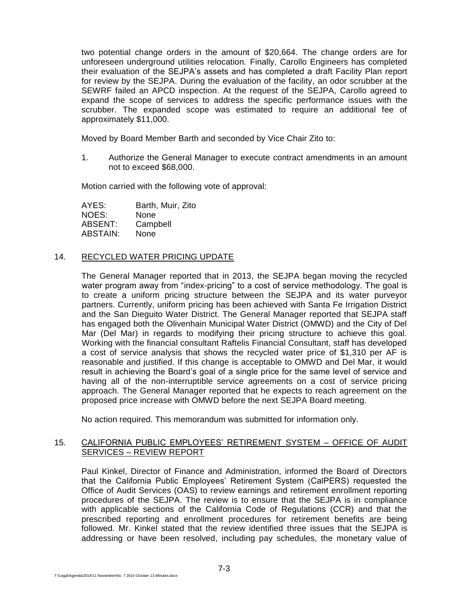two potential change orders in the amount of \$20,664. The change orders are for unforeseen underground utilities relocation. Finally, Carollo Engineers has completed their evaluation of the SEJPA's assets and has completed a draft Facility Plan report for review by the SEJPA. During the evaluation of the facility, an odor scrubber at the SEWRF failed an APCD inspection. At the request of the SEJPA, Carollo agreed to expand the scope of services to address the specific performance issues with the scrubber. The expanded scope was estimated to require an additional fee of approximately \$11,000.

Moved by Board Member Barth and seconded by Vice Chair Zito to:

1. Authorize the General Manager to execute contract amendments in an amount not to exceed \$68,000.

Motion carried with the following vote of approval:

AYES: Barth, Muir, Zito NOES: None ABSENT: Campbell ABSTAIN: None

## 14. RECYCLED WATER PRICING UPDATE

The General Manager reported that in 2013, the SEJPA began moving the recycled water program away from "index-pricing" to a cost of service methodology. The goal is to create a uniform pricing structure between the SEJPA and its water purveyor partners. Currently, uniform pricing has been achieved with Santa Fe Irrigation District and the San Dieguito Water District. The General Manager reported that SEJPA staff has engaged both the Olivenhain Municipal Water District (OMWD) and the City of Del Mar (Del Mar) in regards to modifying their pricing structure to achieve this goal. Working with the financial consultant Raftelis Financial Consultant, staff has developed a cost of service analysis that shows the recycled water price of \$1,310 per AF is reasonable and justified. If this change is acceptable to OMWD and Del Mar, it would result in achieving the Board's goal of a single price for the same level of service and having all of the non-interruptible service agreements on a cost of service pricing approach. The General Manager reported that he expects to reach agreement on the proposed price increase with OMWD before the next SEJPA Board meeting.

No action required. This memorandum was submitted for information only.

## 15. CALIFORNIA PUBLIC EMPLOYEES' RETIREMENT SYSTEM - OFFICE OF AUDIT SERVICES – REVIEW REPORT

Paul Kinkel, Director of Finance and Administration, informed the Board of Directors that the California Public Employees' Retirement System (CalPERS) requested the Office of Audit Services (OAS) to review earnings and retirement enrollment reporting procedures of the SEJPA. The review is to ensure that the SEJPA is in compliance with applicable sections of the California Code of Regulations (CCR) and that the prescribed reporting and enrollment procedures for retirement benefits are being followed. Mr. Kinkel stated that the review identified three issues that the SEJPA is addressing or have been resolved, including pay schedules, the monetary value of